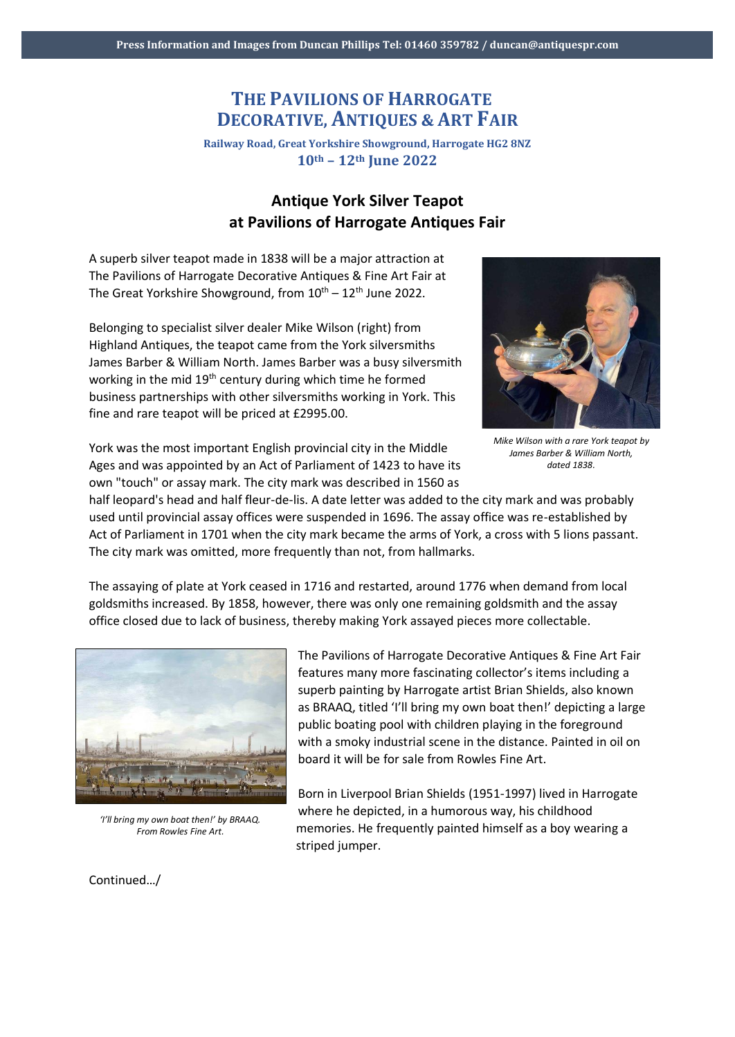## **THE PAVILIONS OF HARROGATE DECORATIVE, ANTIQUES & ART FAIR**

**Railway Road, Great Yorkshire Showground, Harrogate HG2 8NZ 10th – 12th June 2022**

## **Antique York Silver Teapot at Pavilions of Harrogate Antiques Fair**

A superb silver teapot made in 1838 will be a major attraction at The Pavilions of Harrogate Decorative Antiques & Fine Art Fair at The Great Yorkshire Showground, from  $10^{th} - 12^{th}$  June 2022.

Belonging to specialist silver dealer Mike Wilson (right) from Highland Antiques, the teapot came from the York silversmiths James Barber & William North. James Barber was a busy silversmith working in the mid 19<sup>th</sup> century during which time he formed business partnerships with other silversmiths working in York. This fine and rare teapot will be priced at £2995.00.



*Mike Wilson with a rare York teapot by James Barber & William North, dated 1838.*

York was the most important English provincial city in the Middle Ages and was appointed by an Act of Parliament of 1423 to have its own "touch" or assay mark. The city mark was described in 1560 as

half leopard's head and half fleur-de-lis. A date letter was added to the city mark and was probably used until provincial assay offices were suspended in 1696. The assay office was re-established by Act of Parliament in 1701 when the city mark became the arms of York, a cross with 5 lions passant. The city mark was omitted, more frequently than not, from hallmarks.

The assaying of plate at York ceased in 1716 and restarted, around 1776 when demand from local goldsmiths increased. By 1858, however, there was only one remaining goldsmith and the assay office closed due to lack of business, thereby making York assayed pieces more collectable.



*'I'll bring my own boat then!' by BRAAQ. From Rowles Fine Art.*

The Pavilions of Harrogate Decorative Antiques & Fine Art Fair features many more fascinating collector's items including a superb painting by Harrogate artist Brian Shields, also known as BRAAQ, titled 'I'll bring my own boat then!' depicting a large public boating pool with children playing in the foreground with a smoky industrial scene in the distance. Painted in oil on board it will be for sale from Rowles Fine Art.

Born in Liverpool Brian Shields (1951-1997) lived in Harrogate where he depicted, in a humorous way, his childhood memories. He frequently painted himself as a boy wearing a striped jumper.

Continued…/